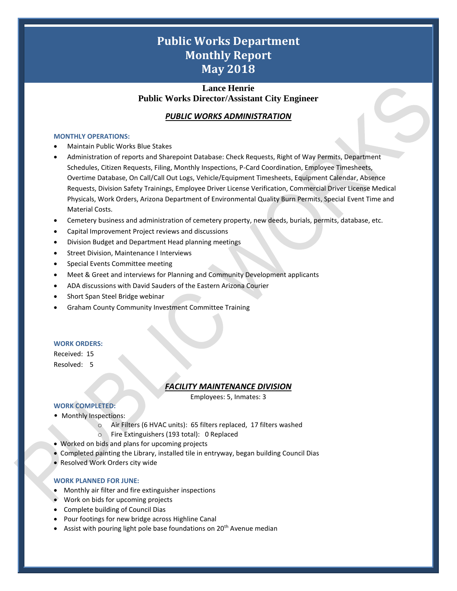# **Public Works Department Monthly Report May 2018**

# **Lance Henrie Public Works Director/Assistant City Engineer**

# *PUBLIC WORKS ADMINISTRATION*

#### **MONTHLY OPERATIONS:**

- Maintain Public Works Blue Stakes
- Administration of reports and Sharepoint Database: Check Requests, Right of Way Permits, Department Schedules, Citizen Requests, Filing, Monthly Inspections, P-Card Coordination, Employee Timesheets, Overtime Database, On Call/Call Out Logs, Vehicle/Equipment Timesheets, Equipment Calendar, Absence Requests, Division Safety Trainings, Employee Driver License Verification, Commercial Driver License Medical Physicals, Work Orders, Arizona Department of Environmental Quality Burn Permits, Special Event Time and Material Costs.
- Cemetery business and administration of cemetery property, new deeds, burials, permits, database, etc.
- Capital Improvement Project reviews and discussions
- Division Budget and Department Head planning meetings
- Street Division, Maintenance I Interviews
- Special Events Committee meeting
- Meet & Greet and interviews for Planning and Community Development applicants
- ADA discussions with David Sauders of the Eastern Arizona Courier
- Short Span Steel Bridge webinar
- Graham County Community Investment Committee Training

#### **WORK ORDERS:**

Received: 15 Resolved: 5

## *FACILITY MAINTENANCE DIVISION*

Employees: 5, Inmates: 3

1

#### **WORK COMPLETED:**

- Monthly Inspections:
	- o Air Filters (6 HVAC units): 65 filters replaced, 17 filters washed
	- o Fire Extinguishers (193 total): 0 Replaced
- Worked on bids and plans for upcoming projects
- Completed painting the Library, installed tile in entryway, began building Council Dias
- Resolved Work Orders city wide

#### **WORK PLANNED FOR JUNE:**

- Monthly air filter and fire extinguisher inspections
- Work on bids for upcoming projects
- Complete building of Council Dias
- Pour footings for new bridge across Highline Canal
- Assist with pouring light pole base foundations on 20<sup>th</sup> Avenue median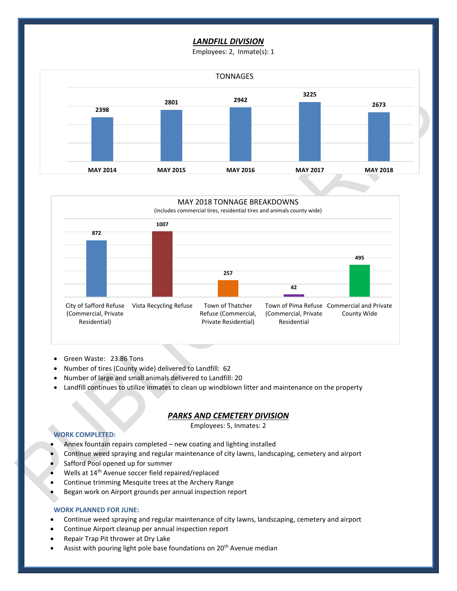# *LANDFILL DIVISION*

Employees: 2, Inmate(s): 1





- Green Waste: 23.86 Tons
- Number of tires (County wide) delivered to Landfill: 62
- Number of large and small animals delivered to Landfill: 20
- Landfill continues to utilize inmates to clean up windblown litter and maintenance on the property

# *PARKS AND CEMETERY DIVISION*

Employees: 5, Inmates: 2

2

#### **WORK COMPLETED:**

- Annex fountain repairs completed new coating and lighting installed
- Continue weed spraying and regular maintenance of city lawns, landscaping, cemetery and airport
- Safford Pool opened up for summer
- Wells at 14<sup>th</sup> Avenue soccer field repaired/replaced
- Continue trimming Mesquite trees at the Archery Range
- Began work on Airport grounds per annual inspection report

#### **WORK PLANNED FOR JUNE:**

- Continue weed spraying and regular maintenance of city lawns, landscaping, cemetery and airport
- Continue Airport cleanup per annual inspection report
- Repair Trap Pit thrower at Dry Lake
- Assist with pouring light pole base foundations on 20<sup>th</sup> Avenue median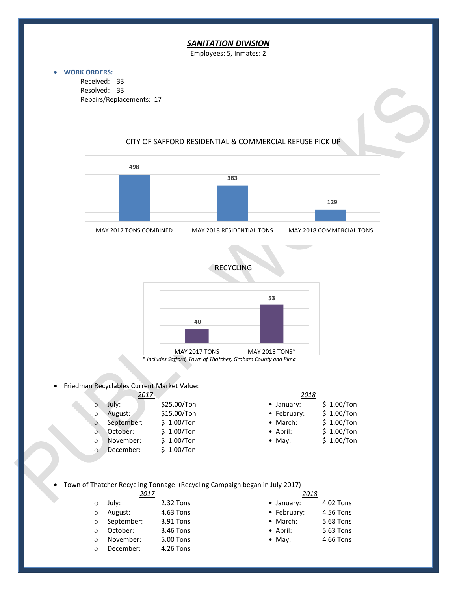# *SANITATION DIVISION*

Employees: 5, Inmates: 2

### • **WORK ORDERS:**

Received: 33 Resolved: 33 Repairs/Replacements: 17

# CITY OF SAFFORD RESIDENTIAL & COMMERCIAL REFUSE PICK UP







• Friedman Recyclables Current Market Value:

| 2017     |            |             | 2018             |              |  |  |
|----------|------------|-------------|------------------|--------------|--|--|
| $\circ$  | Julv:      | \$25.00/Ton | • January:       | $$1.00/T$ on |  |  |
| $\Omega$ | August:    | \$15.00/Ton | • February:      | $$1.00/T$ on |  |  |
| $\circ$  | September: | \$1.00/Ton  | • March:         | $$1.00/T$ on |  |  |
| $\Omega$ | October:   | \$1.00/Ton  | $\bullet$ April: | $$1.00/T$ on |  |  |
| $\Omega$ | November:  | \$1.00/Ton  | $\bullet$ May:   | $$1.00/T$ on |  |  |
| $\Omega$ | December:  | \$1.00/Ton  |                  |              |  |  |

| · January:  | $$1.00/T$ on |
|-------------|--------------|
| • February: | \$ 1.00/Ton  |
| • March:    | $$1.00/T$ on |
| • April:    | \$ 1.00/Ton  |
| $•$ May:    | $$1.00/T$ on |

• Town of Thatcher Recycling Tonnage: (Recycling Campaign began in July 2017)

| 2017    |              |           | 2018               |           |  |
|---------|--------------|-----------|--------------------|-----------|--|
| $\circ$ | July:        | 2.32 Tons | $\bullet$ January: | 4.02 Tons |  |
| $\circ$ | August:      | 4.63 Tons | • February:        | 4.56 Tons |  |
|         | o September: | 3.91 Tons | $\bullet$ March:   | 5.68 Tons |  |
| $\circ$ | October:     | 3.46 Tons | $\bullet$ April:   | 5.63 Tons |  |
| $\circ$ | November:    | 5.00 Tons | $\bullet$ May:     | 4.66 Tons |  |
| $\circ$ | December:    | 4.26 Tons |                    |           |  |

3